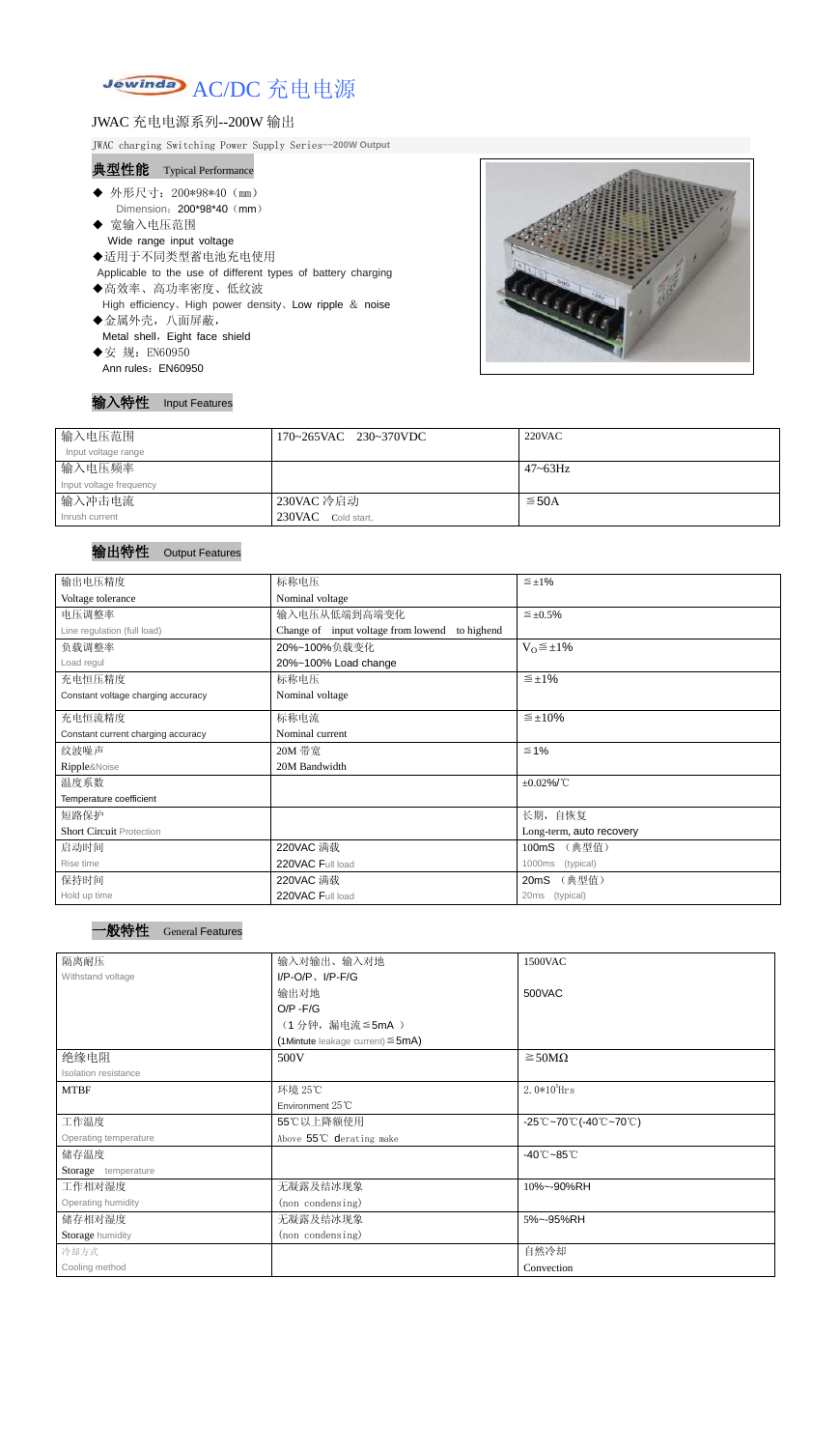# Jewinday AC/DC 充电电源

### JWAC 充电电源系列--200W 输出

JWAC charging Switching Power Supply Series--**200W Output**

### 典型性能 Typical Performance

- ◆ 外形尺寸: 200\*98\*40 (mm) Dimension: 200\*98\*40 (mm)
- ◆ 宽输入电压范围 Wide range input voltage
- ◆适用于不同类型蓄电池充电使用
- Applicable to the use of different types of battery charging
- ◆高效率、高功率密度、低纹波 High efficiency、High power density、Low ripple & noise ◆金属外壳,八面屏蔽, Metal shell, Eight face shield
- ◆安 规: EN60950 Ann rules: EN60950

#### 输入特性 Input Features



| 输入电压范围                  | 170~265VAC 230~370VDC | 220VAC       |
|-------------------------|-----------------------|--------------|
| Input voltage range     |                       |              |
| 输入电压频率                  |                       | $47 - 63$ Hz |
| Input voltage frequency |                       |              |
| 输入冲击电流                  | 230VAC 冷启动            | $\leq$ 50A   |
| Inrush current          | 230VAC<br>Cold start. |              |

## 输出特性 Output Features



| 输出电压精度                             | 标称电压                                              | $\leq \pm 1\%$           |  |  |
|------------------------------------|---------------------------------------------------|--------------------------|--|--|
| Voltage tolerance                  | Nominal voltage                                   |                          |  |  |
| 电压调整率                              | 输入电压从低端到高端变化                                      | $\leq \pm 0.5\%$         |  |  |
| Line regulation (full load)        | Change of input voltage from lowend<br>to highend |                          |  |  |
| 负载调整率                              | $V_0 \leq \pm 1\%$<br>20%~100%负载变化                |                          |  |  |
| Load regul                         | 20%~100% Load change                              |                          |  |  |
| 充电恒压精度                             | 标称电压                                              | $\leq \pm 1\%$           |  |  |
| Constant voltage charging accuracy | Nominal voltage                                   |                          |  |  |
| 充电恒流精度                             | 标称电流                                              | $\leq \pm 10\%$          |  |  |
| Constant current charging accuracy | Nominal current                                   |                          |  |  |
| 纹波噪声                               | 20M 带宽                                            | $\leq 1\%$               |  |  |
| Ripple&Noise                       | 20M Bandwidth                                     |                          |  |  |
| 温度系数                               |                                                   | $\pm 0.02\%$ /°C         |  |  |
| Temperature coefficient            |                                                   |                          |  |  |
| 短路保护                               |                                                   | 长期, 自恢复                  |  |  |
| <b>Short Circuit Protection</b>    |                                                   | Long-term, auto recovery |  |  |
| 启动时间                               | 220VAC 满载<br>(典型值)<br>100mS                       |                          |  |  |
| Rise time                          | 220VAC Full load<br>1000ms<br>(typical)           |                          |  |  |
| 保持时间                               | (典型值)<br>220VAC 满载<br>20mS                        |                          |  |  |
| Hold up time                       | 220VAC Full load                                  | 20ms (typical)           |  |  |

| 隔离耐压                  | 1500VAC<br>输入对输出、输入对地                  |                                                                               |
|-----------------------|----------------------------------------|-------------------------------------------------------------------------------|
| Withstand voltage     | $I/P-O/P$ , $I/P$ -F/G                 |                                                                               |
|                       | 输出对地                                   | 500VAC                                                                        |
|                       | $O/P - F/G$                            |                                                                               |
|                       | (1分钟,漏电流≦5mA)                          |                                                                               |
|                       | (1Mintute leakage current) $\leq$ 5mA) |                                                                               |
| 绝缘电阻                  | 500V                                   | $\geq$ 50M $\Omega$                                                           |
| Isolation resistance  |                                        |                                                                               |
| <b>MTBF</b>           | 环境 25℃                                 | $2.0*105$ Hrs                                                                 |
|                       | Environment $25^{\circ}$ C             |                                                                               |
| 工作温度                  | 55℃以上降额使用                              | $-25^{\circ}\text{C}-70^{\circ}\text{C}$ (-40 $\text{C}-70^{\circ}\text{C}$ ) |
| Operating temperature | Above 55°C derating make               |                                                                               |
| 储存温度                  |                                        | $-40^{\circ}$ C $-85^{\circ}$ C                                               |
| Storage temperature   |                                        |                                                                               |
| 工作相对湿度                | 无凝露及结冰现象                               | 10%~-90%RH                                                                    |
| Operating humidity    | (non condensing)                       |                                                                               |
| 储存相对湿度                | 无凝露及结冰现象                               | 5%~-95%RH                                                                     |
| Storage humidity      | (non condensing)                       |                                                                               |
| 冷却方式                  |                                        | 自然冷却                                                                          |
| Cooling method        |                                        | Convection                                                                    |